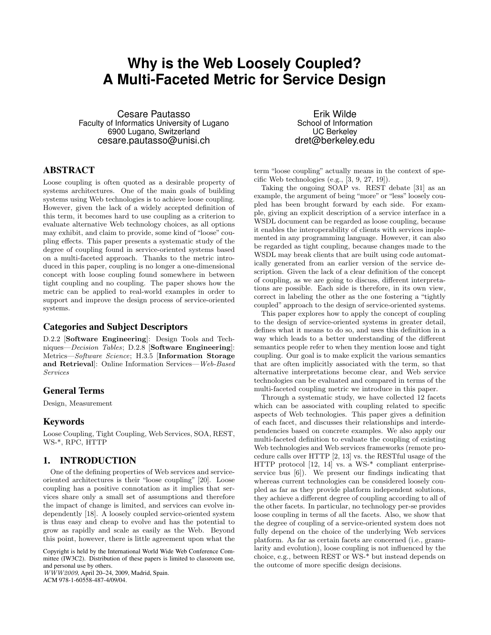# **Why is the Web Loosely Coupled? A Multi-Faceted Metric for Service Design**

Cesare Pautasso Faculty of Informatics University of Lugano 6900 Lugano, Switzerland cesare.pautasso@unisi.ch

## ABSTRACT

Loose coupling is often quoted as a desirable property of systems architectures. One of the main goals of building systems using Web technologies is to achieve loose coupling. However, given the lack of a widely accepted definition of this term, it becomes hard to use coupling as a criterion to evaluate alternative Web technology choices, as all options may exhibit, and claim to provide, some kind of "loose" coupling effects. This paper presents a systematic study of the degree of coupling found in service-oriented systems based on a multi-faceted approach. Thanks to the metric introduced in this paper, coupling is no longer a one-dimensional concept with loose coupling found somewhere in between tight coupling and no coupling. The paper shows how the metric can be applied to real-world examples in order to support and improve the design process of service-oriented systems.

## Categories and Subject Descriptors

D.2.2 [Software Engineering]: Design Tools and Techniques—Decision Tables; D.2.8 [Software Engineering]: Metrics—Software Science; H.3.5 [Information Storage and Retrieval]: Online Information Services—Web-Based Services

#### General Terms

Design, Measurement

#### Keywords

Loose Coupling, Tight Coupling, Web Services, SOA, REST, WS-\*, RPC, HTTP

## 1. INTRODUCTION

One of the defining properties of Web services and serviceoriented architectures is their "loose coupling" [\[20\]](#page-9-0). Loose coupling has a positive connotation as it implies that services share only a small set of assumptions and therefore the impact of change is limited, and services can evolve independently [\[18\]](#page-9-0). A loosely coupled service-oriented system is thus easy and cheap to evolve and has the potential to grow as rapidly and scale as easily as the Web. Beyond this point, however, there is little agreement upon what the

WWW2009, April 20–24, 2009, Madrid, Spain. ACM 978-1-60558-487-4/09/04.

Erik Wilde School of Information UC Berkeley dret@berkeley.edu

term "loose coupling" actually means in the context of specific Web technologies (e.g., [\[3,](#page-9-0) [9,](#page-9-0) [27,](#page-9-0) [19\]](#page-9-0)).

Taking the ongoing SOAP vs. REST debate [\[31\]](#page-9-0) as an example, the argument of being "more" or "less" loosely coupled has been brought forward by each side. For example, giving an explicit description of a service interface in a WSDL document can be regarded as loose coupling, because it enables the interoperability of clients with services implemented in any programming language. However, it can also be regarded as tight coupling, because changes made to the WSDL may break clients that are built using code automatically generated from an earlier version of the service description. Given the lack of a clear definition of the concept of coupling, as we are going to discuss, different interpretations are possible. Each side is therefore, in its own view, correct in labeling the other as the one fostering a "tightly coupled" approach to the design of service-oriented systems.

This paper explores how to apply the concept of coupling to the design of service-oriented systems in greater detail, defines what it means to do so, and uses this definition in a way which leads to a better understanding of the different semantics people refer to when they mention loose and tight coupling. Our goal is to make explicit the various semantics that are often implicitly associated with the term, so that alternative interpretations become clear, and Web service technologies can be evaluated and compared in terms of the multi-faceted coupling metric we introduce in this paper.

Through a systematic study, we have collected 12 facets which can be associated with coupling related to specific aspects of Web technologies. This paper gives a definition of each facet, and discusses their relationships and interdependencies based on concrete examples. We also apply our multi-faceted definition to evaluate the coupling of existing Web technologies and Web services frameworks (remote procedure calls over HTTP [\[2,](#page-9-0) [13\]](#page-9-0) vs. the RESTful usage of the HTTP protocol [\[12,](#page-9-0) [14\]](#page-9-0) vs. a WS-\* compliant enterpriseservice bus [\[6\]](#page-9-0)). We present our findings indicating that whereas current technologies can be considered loosely coupled as far as they provide platform independent solutions, they achieve a different degree of coupling according to all of the other facets. In particular, no technology per-se provides loose coupling in terms of all the facets. Also, we show that the degree of coupling of a service-oriented system does not fully depend on the choice of the underlying Web services platform. As far as certain facets are concerned (i.e., granularity and evolution), loose coupling is not influenced by the choice, e.g., between REST or WS-\* but instead depends on the outcome of more specific design decisions.

Copyright is held by the International World Wide Web Conference Committee (IW3C2). Distribution of these papers is limited to classroom use, and personal use by others.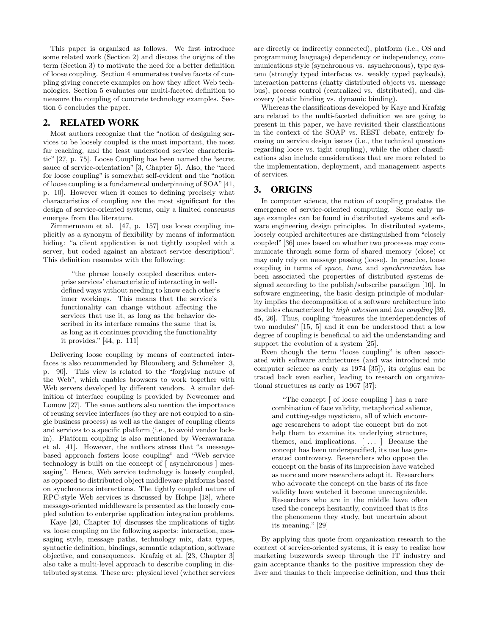This paper is organized as follows. We first introduce some related work (Section 2) and discuss the origins of the term (Section 3) to motivate the need for a better definition of loose coupling. Section [4](#page-2-0) enumerates twelve facets of coupling giving concrete examples on how they affect Web technologies. Section [5](#page-6-0) evaluates our multi-faceted definition to measure the coupling of concrete technology examples. Section [6](#page-8-0) concludes the paper.

## 2. RELATED WORK

Most authors recognize that the "notion of designing services to be loosely coupled is the most important, the most far reaching, and the least understood service characteristic" [\[27,](#page-9-0) p. 75]. Loose Coupling has been named the "secret sauce of service-orientation" [\[3,](#page-9-0) Chapter 5]. Also, the "need for loose coupling" is somewhat self-evident and the "notion of loose coupling is a fundamental underpinning of SOA"[\[41,](#page-9-0) p. 10]. However when it comes to defining precisely what characteristics of coupling are the most significant for the design of service-oriented systems, only a limited consensus emerges from the literature.

Zimmermann et al. [\[47,](#page-9-0) p. 157] use loose coupling implicitly as a synonym of flexibility by means of information hiding: "a client application is not tightly coupled with a server, but coded against an abstract service description". This definition resonates with the following:

"the phrase loosely coupled describes enterprise services' characteristic of interacting in welldefined ways without needing to know each other's inner workings. This means that the service's functionality can change without affecting the services that use it, as long as the behavior described in its interface remains the same–that is, as long as it continues providing the functionality it provides." [\[44,](#page-9-0) p. 111]

Delivering loose coupling by means of contracted interfaces is also recommended by Bloomberg and Schmelzer [\[3,](#page-9-0) p. 90]. This view is related to the "forgiving nature of the Web", which enables browsers to work together with Web servers developed by different vendors. A similar definition of interface coupling is provided by Newcomer and Lomow [\[27\]](#page-9-0). The same authors also mention the importance of reusing service interfaces (so they are not coupled to a single business process) as well as the danger of coupling clients and services to a specific platform (i.e., to avoid vendor lockin). Platform coupling is also mentioned by Weerawarana et al. [\[41\]](#page-9-0). However, the authors stress that "a messagebased approach fosters loose coupling" and "Web service technology is built on the concept of [ asynchronous ] messaging". Hence, Web service technology is loosely coupled, as opposed to distributed object middleware platforms based on synchronous interactions. The tightly coupled nature of RPC-style Web services is discussed by Hohpe [\[18\]](#page-9-0), where message-oriented middleware is presented as the loosely coupled solution to enterprise application integration problems.

Kaye [\[20,](#page-9-0) Chapter 10] discusses the implications of tight vs. loose coupling on the following aspects: interaction, messaging style, message paths, technology mix, data types, syntactic definition, bindings, semantic adaptation, software objective, and consequences. Krafzig et al. [\[23,](#page-9-0) Chapter 3] also take a multi-level approach to describe coupling in distributed systems. These are: physical level (whether services are directly or indirectly connected), platform (i.e., OS and programming language) dependency or independency, communications style (synchronous vs. asynchronous), type system (strongly typed interfaces vs. weakly typed payloads), interaction patterns (chatty distributed objects vs. message bus), process control (centralized vs. distributed), and discovery (static binding vs. dynamic binding).

Whereas the classifications developed by Kaye and Krafzig are related to the multi-faceted definition we are going to present in this paper, we have revisited their classifications in the context of the SOAP vs. REST debate, entirely focusing on service design issues (i.e., the technical questions regarding loose vs. tight coupling), while the other classifications also include considerations that are more related to the implementation, deployment, and management aspects of services.

## 3. ORIGINS

In computer science, the notion of coupling predates the emergence of service-oriented computing. Some early usage examples can be found in distributed systems and software engineering design principles. In distributed systems, loosely coupled architectures are distinguished from "closely coupled"[\[36\]](#page-9-0) ones based on whether two processes may communicate through some form of shared memory (close) or may only rely on message passing (loose). In practice, loose coupling in terms of space, time, and synchronization has been associated the properties of distributed systems designed according to the publish/subscribe paradigm [\[10\]](#page-9-0). In software engineering, the basic design principle of modularity implies the decomposition of a software architecture into modules characterized by high cohesion and low coupling [\[39,](#page-9-0) [45,](#page-9-0) [26\]](#page-9-0). Thus, coupling "measures the interdependencies of two modules" [\[15,](#page-9-0) [5\]](#page-9-0) and it can be understood that a low degree of coupling is beneficial to aid the understanding and support the evolution of a system [\[25\]](#page-9-0).

Even though the term "loose coupling" is often associated with software architectures (and was introduced into computer science as early as 1974 [\[35\]](#page-9-0)), its origins can be traced back even earlier, leading to research on organizational structures as early as 1967 [\[37\]](#page-9-0):

"The concept [ of loose coupling ] has a rare combination of face validity, metaphorical salience, and cutting-edge mysticism, all of which encourage researchers to adopt the concept but do not help them to examine its underlying structure, themes, and implications.  $[\ldots]$  Because the concept has been underspecified, its use has generated controversy. Researchers who oppose the concept on the basis of its imprecision have watched as more and more researchers adopt it. Researchers who advocate the concept on the basis of its face validity have watched it become unrecognizable. Researchers who are in the middle have often used the concept hesitantly, convinced that it fits the phenomena they study, but uncertain about its meaning." [\[29\]](#page-9-0)

By applying this quote from organization research to the context of service-oriented systems, it is easy to realize how marketing buzzwords sweep through the IT industry and gain acceptance thanks to the positive impression they deliver and thanks to their imprecise definition, and thus their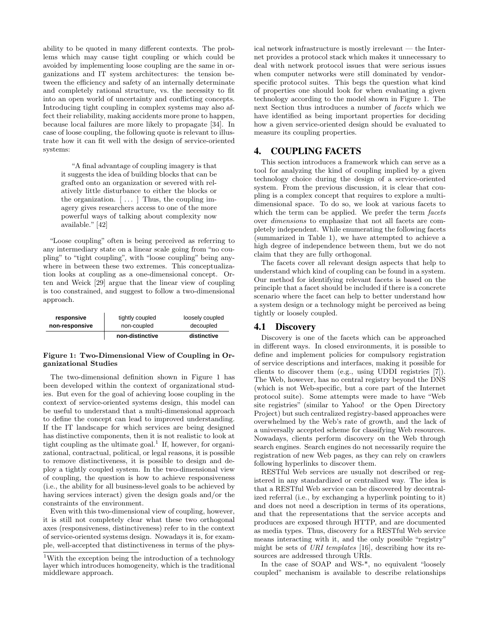<span id="page-2-0"></span>ability to be quoted in many different contexts. The problems which may cause tight coupling or which could be avoided by implementing loose coupling are the same in organizations and IT system architectures: the tension between the efficiency and safety of an internally determinate and completely rational structure, vs. the necessity to fit into an open world of uncertainty and conflicting concepts. Introducing tight coupling in complex systems may also affect their reliability, making accidents more prone to happen, because local failures are more likely to propagate [\[34\]](#page-9-0). In case of loose coupling, the following quote is relevant to illustrate how it can fit well with the design of service-oriented systems:

"A final advantage of coupling imagery is that it suggests the idea of building blocks that can be grafted onto an organization or severed with relatively little disturbance to either the blocks or the organization.  $[ \dots ]$  Thus, the coupling imagery gives researchers access to one of the more powerful ways of talking about complexity now available." [\[42\]](#page-9-0)

"Loose coupling" often is being perceived as referring to any intermediary state on a linear scale going from "no coupling" to "tight coupling", with "loose coupling" being anywhere in between these two extremes. This conceptualization looks at coupling as a one-dimensional concept. Orten and Weick [\[29\]](#page-9-0) argue that the linear view of coupling is too constrained, and suggest to follow a two-dimensional approach.

|                | non-distinctive | distinctive     |  |
|----------------|-----------------|-----------------|--|
| non-responsive | non-coupled     | decoupled       |  |
| responsive     | tightly coupled | loosely coupled |  |

#### Figure 1: Two-Dimensional View of Coupling in Organizational Studies

The two-dimensional definition shown in Figure 1 has been developed within the context of organizational studies. But even for the goal of achieving loose coupling in the context of service-oriented systems design, this model can be useful to understand that a multi-dimensional approach to define the concept can lead to improved understanding. If the IT landscape for which services are being designed has distinctive components, then it is not realistic to look at tight coupling as the ultimate goal.<sup>1</sup> If, however, for organizational, contractual, political, or legal reasons, it is possible to remove distinctiveness, it is possible to design and deploy a tightly coupled system. In the two-dimensional view of coupling, the question is how to achieve responsiveness (i.e., the ability for all business-level goals to be achieved by having services interact) given the design goals and/or the constraints of the environment.

Even with this two-dimensional view of coupling, however, it is still not completely clear what these two orthogonal axes (responsiveness, distinctiveness) refer to in the context of service-oriented systems design. Nowadays it is, for example, well-accepted that distinctiveness in terms of the physical network infrastructure is mostly irrelevant — the Internet provides a protocol stack which makes it unnecessary to deal with network protocol issues that were serious issues when computer networks were still dominated by vendorspecific protocol suites. This begs the question what kind of properties one should look for when evaluating a given technology according to the model shown in Figure 1. The next Section thus introduces a number of facets which we have identified as being important properties for deciding how a given service-oriented design should be evaluated to measure its coupling properties.

# 4. COUPLING FACETS

This section introduces a framework which can serve as a tool for analyzing the kind of coupling implied by a given technology choice during the design of a service-oriented system. From the previous discussion, it is clear that coupling is a complex concept that requires to explore a multidimensional space. To do so, we look at various facets to which the term can be applied. We prefer the term facets over dimensions to emphasize that not all facets are completely independent. While enumerating the following facets (summarized in Table [1\)](#page-3-0), we have attempted to achieve a high degree of independence between them, but we do not claim that they are fully orthogonal.

The facets cover all relevant design aspects that help to understand which kind of coupling can be found in a system. Our method for identifying relevant facets is based on the principle that a facet should be included if there is a concrete scenario where the facet can help to better understand how a system design or a technology might be perceived as being tightly or loosely coupled.

## 4.1 Discovery

Discovery is one of the facets which can be approached in different ways. In closed environments, it is possible to define and implement policies for compulsory registration of service descriptions and interfaces, making it possible for clients to discover them (e.g., using UDDI registries [\[7\]](#page-9-0)). The Web, however, has no central registry beyond the DNS (which is not Web-specific, but a core part of the Internet protocol suite). Some attempts were made to have "Web site registries" (similar to Yahoo! or the Open Directory Project) but such centralized registry-based approaches were overwhelmed by the Web's rate of growth, and the lack of a universally accepted scheme for classifying Web resources. Nowadays, clients perform discovery on the Web through search engines. Search engines do not necessarily require the registration of new Web pages, as they can rely on crawlers following hyperlinks to discover them.

RESTful Web services are usually not described or registered in any standardized or centralized way. The idea is that a RESTful Web service can be discovered by decentralized referral (i.e., by exchanging a hyperlink pointing to it) and does not need a description in terms of its operations, and that the representations that the service accepts and produces are exposed through HTTP, and are documented as media types. Thus, discovery for a RESTful Web service means interacting with it, and the only possible "registry" might be sets of URI templates [\[16\]](#page-9-0), describing how its resources are addressed through URIs.

In the case of SOAP and WS-\*, no equivalent "loosely coupled" mechanism is available to describe relationships

 $^1\rm{With}$  the exception being the introduction of a technology layer which introduces homogeneity, which is the traditional middleware approach.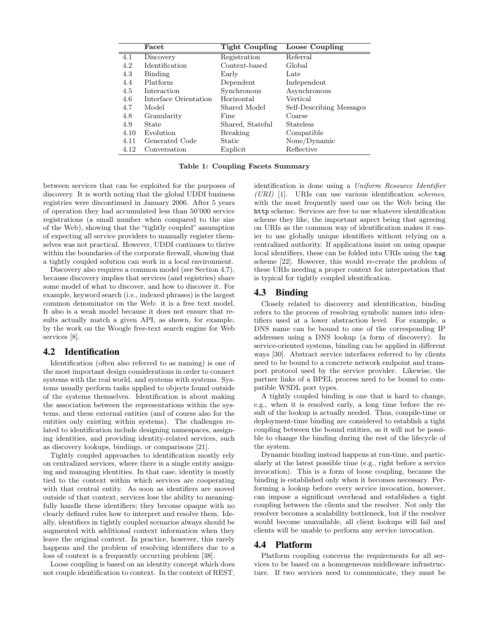<span id="page-3-0"></span>

|      | Facet                 | <b>Tight Coupling</b> | Loose Coupling           |
|------|-----------------------|-----------------------|--------------------------|
| 4.1  | Discovery             | Registration          | Referral                 |
| 4.2  | <b>Identification</b> | Context-based         | Global                   |
| 4.3  | Binding               | Early                 | Late                     |
| 4.4  | Platform              | Dependent             | Independent              |
| 4.5  | Interaction           | Synchronous           | Asynchronous             |
| 4.6  | Interface Orientation | Horizontal            | Vertical                 |
| 4.7  | Model                 | Shared Model          | Self-Describing Messages |
| 4.8  | Granularity           | Fine                  | Coarse                   |
| 4.9  | State                 | Shared, Stateful      | <b>Stateless</b>         |
| 4.10 | Evolution             | Breaking              | Compatible               |
| 4.11 | Generated Code        | Static                | None/Dynamic             |
| 4.12 | Conversation          | Explicit              | Reflective               |

Table 1: Coupling Facets Summary

between services that can be exploited for the purposes of discovery. It is worth noting that the global UDDI business registries were discontinued in January 2006. After 5 years of operation they had accumulated less than 50'000 service registrations (a small number when compared to the size of the Web), showing that the "tightly coupled" assumption of expecting all service providers to manually register themselves was not practical. However, UDDI continues to thrive within the boundaries of the corporate firewall, showing that a tightly coupled solution can work in a local environment.

Discovery also requires a common model (see Section [4.7\)](#page-5-0), because discovery implies that services (and registries) share some model of what to discover, and how to discover it. For example, keyword search (i.e., indexed phrases) is the largest common denominator on the Web: it is a free text model. It also is a weak model because it does not ensure that results actually match a given API, as shown, for example, by the work on the Woogle free-text search engine for Web services [\[8\]](#page-9-0).

#### 4.2 Identification

Identification (often also referred to as naming) is one of the most important design considerations in order to connect systems with the real world, and systems with systems. Systems usually perform tasks applied to objects found outside of the systems themselves. Identification is about making the association between the representations within the systems, and these external entities (and of course also for the entities only existing within systems). The challenges related to identification include designing namespaces, assigning identities, and providing identity-related services, such as discovery lookups, bindings, or comparisons [\[21\]](#page-9-0).

Tightly coupled approaches to identification mostly rely on centralized services, where there is a single entity assigning and managing identities. In that case, identity is mostly tied to the context within which services are cooperating with that central entity. As soon as identifiers are moved outside of that context, services lose the ability to meaningfully handle these identifiers; they become opaque with no clearly defined rules how to interpret and resolve them. Ideally, identifiers in tightly coupled scenarios always should be augmented with additional context information when they leave the original context. In practice, however, this rarely happens and the problem of resolving identifiers due to a loss of context is a frequently occurring problem [\[38\]](#page-9-0).

Loose coupling is based on an identity concept which does not couple identification to context. In the context of REST, identification is done using a Uniform Resource Identifier  $(URI)$  [\[1\]](#page-8-0). URIs can use various identification schemes, with the most frequently used one on the Web being the http scheme. Services are free to use whatever identification scheme they like, the important aspect being that agreeing on URIs as the common way of identification makes it easier to use globally unique identifiers without relying on a centralized authority. If applications insist on using opaque local identifiers, these can be folded into URIs using the tag scheme [\[22\]](#page-9-0). However, this would re-create the problem of these URIs needing a proper context for interpretation that is typical for tightly coupled identification.

## 4.3 Binding

Closely related to discovery and identification, binding refers to the process of resolving symbolic names into identifiers used at a lower abstraction level. For example, a DNS name can be bound to one of the corresponding IP addresses using a DNS lookup (a form of discovery). In service-oriented systems, binding can be applied in different ways [\[30\]](#page-9-0). Abstract service interfaces referred to by clients need to be bound to a concrete network endpoint and transport protocol used by the service provider. Likewise, the partner links of a BPEL process need to be bound to compatible WSDL port types.

A tightly coupled binding is one that is hard to change, e.g., when it is resolved early, a long time before the result of the lookup is actually needed. Thus, compile-time or deployment-time binding are considered to establish a tight coupling between the bound entities, as it will not be possible to change the binding during the rest of the lifecycle of the system.

Dynamic binding instead happens at run-time, and particularly at the latest possible time (e.g., right before a service invocation). This is a form of loose coupling, because the binding is established only when it becomes necessary. Performing a lookup before every service invocation, however, can impose a significant overhead and establishes a tight coupling between the clients and the resolver. Not only the resolver becomes a scalability bottleneck, but if the resolver would become unavailable, all client lookups will fail and clients will be unable to perform any service invocation.

## 4.4 Platform

Platform coupling concerns the requirements for all services to be based on a homogeneous middleware infrastructure. If two services need to communicate, they must be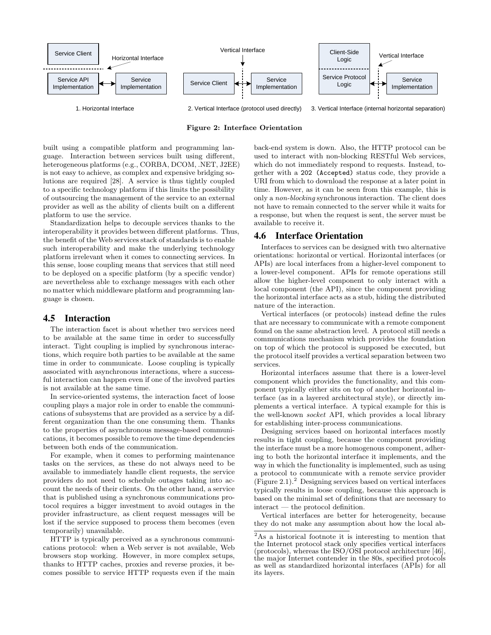<span id="page-4-0"></span>

Figure 2: Interface Orientation

built using a compatible platform and programming language. Interaction between services built using different, heterogeneous platforms (e.g., CORBA, DCOM, .NET, J2EE) is not easy to achieve, as complex and expensive bridging solutions are required [\[28\]](#page-9-0). A service is thus tightly coupled to a specific technology platform if this limits the possibility of outsourcing the management of the service to an external provider as well as the ability of clients built on a different platform to use the service.

Standardization helps to decouple services thanks to the interoperability it provides between different platforms. Thus, the benefit of the Web services stack of standards is to enable such interoperability and make the underlying technology platform irrelevant when it comes to connecting services. In this sense, loose coupling means that services that still need to be deployed on a specific platform (by a specific vendor) are nevertheless able to exchange messages with each other no matter which middleware platform and programming language is chosen.

## 4.5 Interaction

The interaction facet is about whether two services need to be available at the same time in order to successfully interact. Tight coupling is implied by synchronous interactions, which require both parties to be available at the same time in order to communicate. Loose coupling is typically associated with asynchronous interactions, where a successful interaction can happen even if one of the involved parties is not available at the same time.

In service-oriented systems, the interaction facet of loose coupling plays a major role in order to enable the communications of subsystems that are provided as a service by a different organization than the one consuming them. Thanks to the properties of asynchronous message-based communications, it becomes possible to remove the time dependencies between both ends of the communication.

For example, when it comes to performing maintenance tasks on the services, as these do not always need to be available to immediately handle client requests, the service providers do not need to schedule outages taking into account the needs of their clients. On the other hand, a service that is published using a synchronous communications protocol requires a bigger investment to avoid outages in the provider infrastructure, as client request messages will be lost if the service supposed to process them becomes (even temporarily) unavailable.

HTTP is typically perceived as a synchronous communications protocol: when a Web server is not available, Web browsers stop working. However, in more complex setups, thanks to HTTP caches, proxies and reverse proxies, it becomes possible to service HTTP requests even if the main back-end system is down. Also, the HTTP protocol can be used to interact with non-blocking RESTful Web services, which do not immediately respond to requests. Instead, together with a 202 (Accepted) status code, they provide a URI from which to download the response at a later point in time. However, as it can be seen from this example, this is only a non-blocking synchronous interaction. The client does not have to remain connected to the server while it waits for a response, but when the request is sent, the server must be available to receive it.

# 4.6 Interface Orientation

Interfaces to services can be designed with two alternative orientations: horizontal or vertical. Horizontal interfaces (or APIs) are local interfaces from a higher-level component to a lower-level component. APIs for remote operations still allow the higher-level component to only interact with a local component (the API), since the component providing the horizontal interface acts as a stub, hiding the distributed nature of the interaction.

Vertical interfaces (or protocols) instead define the rules that are necessary to communicate with a remote component found on the same abstraction level. A protocol still needs a communications mechanism which provides the foundation on top of which the protocol is supposed be executed, but the protocol itself provides a vertical separation between two services.

Horizontal interfaces assume that there is a lower-level component which provides the functionality, and this component typically either sits on top of another horizontal interface (as in a layered architectural style), or directly implements a vertical interface. A typical example for this is the well-known socket API, which provides a local library for establishing inter-process communications.

Designing services based on horizontal interfaces mostly results in tight coupling, because the component providing the interface must be a more homogenous component, adhering to both the horizontal interface it implements, and the way in which the functionality is implemented, such as using a protocol to communicate with a remote service provider  $(Figure 2.1).$ <sup>2</sup> Designing services based on vertical interfaces typically results in loose coupling, because this approach is based on the minimal set of definitions that are necessary to interact — the protocol definition.

Vertical interfaces are better for heterogeneity, because they do not make any assumption about how the local ab-

<sup>2</sup>As a historical footnote it is interesting to mention that the Internet protocol stack only specifies vertical interfaces (protocols), whereas the ISO/OSI protocol architecture [\[46\]](#page-9-0), the major Internet contender in the 80s, specified protocols as well as standardized horizontal interfaces (APIs) for all its layers.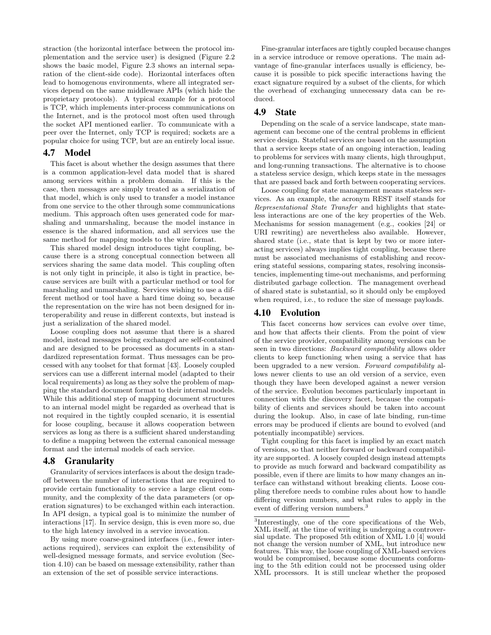<span id="page-5-0"></span>straction (the horizontal interface between the protocol implementation and the service user) is designed (Figure [2.](#page-4-0)2 shows the basic model, Figure [2.](#page-4-0)3 shows an internal separation of the client-side code). Horizontal interfaces often lead to homogenous environments, where all integrated services depend on the same middleware APIs (which hide the proprietary protocols). A typical example for a protocol is TCP, which implements inter-process communications on the Internet, and is the protocol most often used through the socket API mentioned earlier. To communicate with a peer over the Internet, only TCP is required; sockets are a popular choice for using TCP, but are an entirely local issue.

## 4.7 Model

This facet is about whether the design assumes that there is a common application-level data model that is shared among services within a problem domain. If this is the case, then messages are simply treated as a serialization of that model, which is only used to transfer a model instance from one service to the other through some communications medium. This approach often uses generated code for marshaling and unmarshaling, because the model instance in essence is the shared information, and all services use the same method for mapping models to the wire format.

This shared model design introduces tight coupling, because there is a strong conceptual connection between all services sharing the same data model. This coupling often is not only tight in principle, it also is tight in practice, because services are built with a particular method or tool for marshaling and unmarshaling. Services wishing to use a different method or tool have a hard time doing so, because the representation on the wire has not been designed for interoperability and reuse in different contexts, but instead is just a serialization of the shared model.

Loose coupling does not assume that there is a shared model, instead messages being exchanged are self-contained and are designed to be processed as documents in a standardized representation format. Thus messages can be processed with any toolset for that format [\[43\]](#page-9-0). Loosely coupled services can use a different internal model (adapted to their local requirements) as long as they solve the problem of mapping the standard document format to their internal models. While this additional step of mapping document structures to an internal model might be regarded as overhead that is not required in the tightly coupled scenario, it is essential for loose coupling, because it allows cooperation between services as long as there is a sufficient shared understanding to define a mapping between the external canonical message format and the internal models of each service.

#### 4.8 Granularity

Granularity of services interfaces is about the design tradeoff between the number of interactions that are required to provide certain functionality to service a large client community, and the complexity of the data parameters (or operation signatures) to be exchanged within each interaction. In API design, a typical goal is to minimize the number of interactions [\[17\]](#page-9-0). In service design, this is even more so, due to the high latency involved in a service invocation.

By using more coarse-grained interfaces (i.e., fewer interactions required), services can exploit the extensibility of well-designed message formats, and service evolution (Section 4.10) can be based on message extensibility, rather than an extension of the set of possible service interactions.

Fine-granular interfaces are tightly coupled because changes in a service introduce or remove operations. The main advantage of fine-granular interfaces usually is efficiency, because it is possible to pick specific interactions having the exact signature required by a subset of the clients, for which the overhead of exchanging unnecessary data can be reduced.

## 4.9 State

Depending on the scale of a service landscape, state management can become one of the central problems in efficient service design. Stateful services are based on the assumption that a service keeps state of an ongoing interaction, leading to problems for services with many clients, high throughput, and long-running transactions. The alternative is to choose a stateless service design, which keeps state in the messages that are passed back and forth between cooperating services.

Loose coupling for state management means stateless services. As an example, the acronym REST itself stands for Representational State Transfer and highlights that stateless interactions are one of the key properties of the Web. Mechanisms for session management (e.g., cookies [\[24\]](#page-9-0) or URI rewriting) are nevertheless also available. However, shared state (i.e., state that is kept by two or more interacting services) always implies tight coupling, because there must be associated mechanisms of establishing and recovering stateful sessions, comparing states, resolving inconsistencies, implementing time-out mechanisms, and performing distributed garbage collection. The management overhead of shared state is substantial, so it should only be employed when required, i.e., to reduce the size of message payloads.

## 4.10 Evolution

This facet concerns how services can evolve over time, and how that affects their clients. From the point of view of the service provider, compatibility among versions can be seen in two directions: Backward compatibility allows older clients to keep functioning when using a service that has been upgraded to a new version. Forward compatibility allows newer clients to use an old version of a service, even though they have been developed against a newer version of the service. Evolution becomes particularly important in connection with the discovery facet, because the compatibility of clients and services should be taken into account during the lookup. Also, in case of late binding, run-time errors may be produced if clients are bound to evolved (and potentially incompatible) services.

Tight coupling for this facet is implied by an exact match of versions, so that neither forward or backward compatibility are supported. A loosely coupled design instead attempts to provide as much forward and backward compatibility as possible, even if there are limits to how many changes an interface can withstand without breaking clients. Loose coupling therefore needs to combine rules about how to handle differing version numbers, and what rules to apply in the event of differing version numbers.<sup>3</sup>

<sup>3</sup> Interestingly, one of the core specifications of the Web, XML itself, at the time of writing is undergoing a controversial update. The proposed 5th edition of XML 1.0 [\[4\]](#page-9-0) would not change the version number of XML, but introduce new features. This way, the loose coupling of XML-based services would be compromised, because some documents conforming to the 5th edition could not be processed using older XML processors. It is still unclear whether the proposed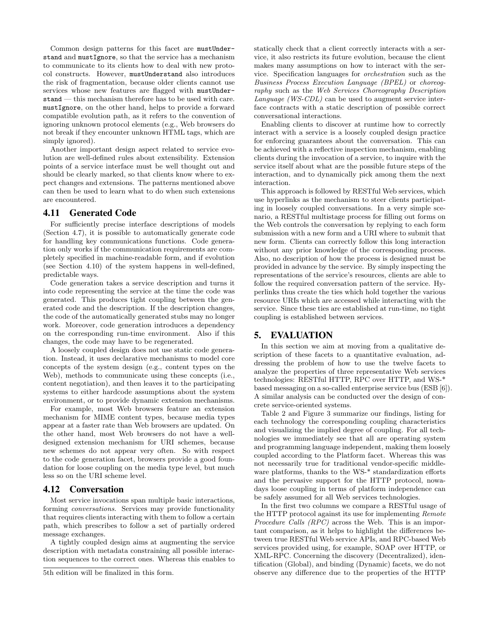<span id="page-6-0"></span>Common design patterns for this facet are mustUnderstand and mustIgnore, so that the service has a mechanism to communicate to its clients how to deal with new protocol constructs. However, mustUnderstand also introduces the risk of fragmentation, because older clients cannot use services whose new features are flagged with mustUnderstand — this mechanism therefore has to be used with care. mustIgnore, on the other hand, helps to provide a forward compatible evolution path, as it refers to the convention of ignoring unknown protocol elements (e.g., Web browsers do not break if they encounter unknown HTML tags, which are simply ignored).

Another important design aspect related to service evolution are well-defined rules about extensibility. Extension points of a service interface must be well thought out and should be clearly marked, so that clients know where to expect changes and extensions. The patterns mentioned above can then be used to learn what to do when such extensions are encountered.

#### 4.11 Generated Code

For sufficiently precise interface descriptions of models (Section [4.7\)](#page-5-0), it is possible to automatically generate code for handling key communications functions. Code generation only works if the communication requirements are completely specified in machine-readable form, and if evolution (see Section [4.10\)](#page-5-0) of the system happens in well-defined, predictable ways.

Code generation takes a service description and turns it into code representing the service at the time the code was generated. This produces tight coupling between the generated code and the description. If the description changes, the code of the automatically generated stubs may no longer work. Moreover, code generation introduces a dependency on the corresponding run-time environment. Also if this changes, the code may have to be regenerated.

A loosely coupled design does not use static code generation. Instead, it uses declarative mechanisms to model core concepts of the system design (e.g., content types on the Web), methods to communicate using these concepts (i.e., content negotiation), and then leaves it to the participating systems to either hardcode assumptions about the system environment, or to provide dynamic extension mechanisms.

For example, most Web browsers feature an extension mechanism for MIME content types, because media types appear at a faster rate than Web browsers are updated. On the other hand, most Web browsers do not have a welldesigned extension mechanism for URI schemes, because new schemes do not appear very often. So with respect to the code generation facet, browsers provide a good foundation for loose coupling on the media type level, but much less so on the URI scheme level.

## 4.12 Conversation

Most service invocations span multiple basic interactions, forming conversations. Services may provide functionality that requires clients interacting with them to follow a certain path, which prescribes to follow a set of partially ordered message exchanges.

A tightly coupled design aims at augmenting the service description with metadata constraining all possible interaction sequences to the correct ones. Whereas this enables to

5th edition will be finalized in this form.

statically check that a client correctly interacts with a service, it also restricts its future evolution, because the client makes many assumptions on how to interact with the service. Specification languages for orchestration such as the Business Process Execution Language (BPEL) or choreography such as the Web Services Choreography Description Language (WS-CDL) can be used to augment service interface contracts with a static description of possible correct conversational interactions.

Enabling clients to discover at runtime how to correctly interact with a service is a loosely coupled design practice for enforcing guarantees about the conversation. This can be achieved with a reflective inspection mechanism, enabling clients during the invocation of a service, to inquire with the service itself about what are the possible future steps of the interaction, and to dynamically pick among them the next interaction.

This approach is followed by RESTful Web services, which use hyperlinks as the mechanism to steer clients participating in loosely coupled conversations. In a very simple scenario, a RESTful multistage process for filling out forms on the Web controls the conversation by replying to each form submission with a new form and a URI where to submit that new form. Clients can correctly follow this long interaction without any prior knowledge of the corresponding process. Also, no description of how the process is designed must be provided in advance by the service. By simply inspecting the representations of the service's resources, clients are able to follow the required conversation pattern of the service. Hyperlinks thus create the ties which hold together the various resource URIs which are accessed while interacting with the service. Since these ties are established at run-time, no tight coupling is established between services.

### 5. EVALUATION

In this section we aim at moving from a qualitative description of these facets to a quantitative evaluation, addressing the problem of how to use the twelve facets to analyze the properties of three representative Web services technologies: RESTful HTTP, RPC over HTTP, and WS-\* based messaging on a so-called enterprise service bus (ESB [\[6\]](#page-9-0)). A similar analysis can be conducted over the design of concrete service-oriented systems.

Table [2](#page-7-0) and Figure [3](#page-7-0) summarize our findings, listing for each technology the corresponding coupling characteristics and visualizing the implied degree of coupling. For all technologies we immediately see that all are operating system and programming language independent, making them loosely coupled according to the Platform facet. Whereas this was not necessarily true for traditional vendor-specific middleware platforms, thanks to the WS-\* standardization efforts and the pervasive support for the HTTP protocol, nowadays loose coupling in terms of platform independence can be safely assumed for all Web services technologies.

In the first two columns we compare a RESTful usage of the HTTP protocol against its use for implementing Remote Procedure Calls (RPC) across the Web. This is an important comparison, as it helps to highlight the differences between true RESTful Web service APIs, and RPC-based Web services provided using, for example, SOAP over HTTP, or XML-RPC. Concerning the discovery (Decentralized), identification (Global), and binding (Dynamic) facets, we do not observe any difference due to the properties of the HTTP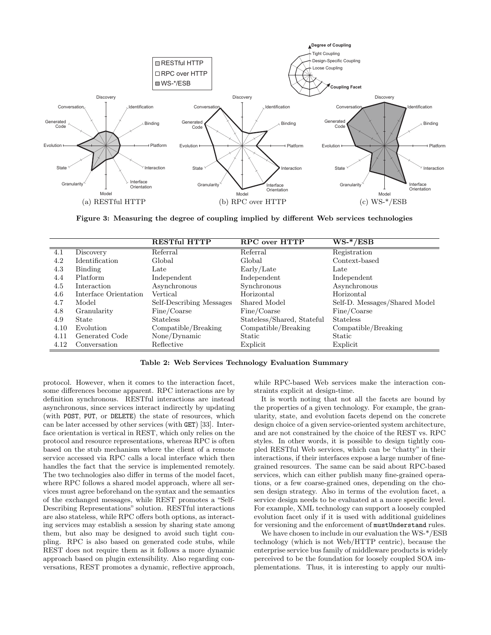<span id="page-7-0"></span>

Figure 3: Measuring the degree of coupling implied by different Web services technologies

|      |                       | <b>RESTful HTTP</b>      | <b>RPC</b> over HTTP       | $WS$ -*/ESB                   |
|------|-----------------------|--------------------------|----------------------------|-------------------------------|
| 4.1  | Discovery             | Referral                 | Referral                   | Registration                  |
| 4.2  | Identification        | Global                   | Global                     | Context-based                 |
| 4.3  | Binding               | Late                     | $\rm Early/Late$           | Late                          |
| 4.4  | Platform              | Independent              | Independent                | Independent                   |
| 4.5  | Interaction           | Asynchronous             | Synchronous                | Asynchronous                  |
| 4.6  | Interface Orientation | Vertical                 | Horizontal                 | Horizontal                    |
| 4.7  | Model                 | Self-Describing Messages | Shared Model               | Self-D. Messages/Shared Model |
| 4.8  | Granularity           | Fine/Coarse              | Fine/Coarse                | Fine/Coarse                   |
| 4.9  | State                 | <b>Stateless</b>         | Stateless/Shared, Stateful | <b>Stateless</b>              |
| 4.10 | Evolution             | Compatible/Breaking      | Compatible/Breaking        | Compatible/Breaking           |
| 4.11 | Generated Code        | $None/Dy$ namic          | Static                     | Static                        |
| 4.12 | Conversation          | Reflective               | Explicit                   | Explicit                      |

Table 2: Web Services Technology Evaluation Summary

protocol. However, when it comes to the interaction facet, some differences become apparent. RPC interactions are by definition synchronous. RESTful interactions are instead asynchronous, since services interact indirectly by updating (with POST, PUT, or DELETE) the state of resources, which can be later accessed by other services (with GET) [\[33\]](#page-9-0). Interface orientation is vertical in REST, which only relies on the protocol and resource representations, whereas RPC is often based on the stub mechanism where the client of a remote service accessed via RPC calls a local interface which then handles the fact that the service is implemented remotely. The two technologies also differ in terms of the model facet, where RPC follows a shared model approach, where all services must agree beforehand on the syntax and the semantics of the exchanged messages, while REST promotes a "Self-Describing Representations" solution. RESTful interactions are also stateless, while RPC offers both options, as interacting services may establish a session by sharing state among them, but also may be designed to avoid such tight coupling. RPC is also based on generated code stubs, while REST does not require them as it follows a more dynamic approach based on plugin extensibility. Also regarding conversations, REST promotes a dynamic, reflective approach, while RPC-based Web services make the interaction constraints explicit at design-time.

It is worth noting that not all the facets are bound by the properties of a given technology. For example, the granularity, state, and evolution facets depend on the concrete design choice of a given service-oriented system architecture, and are not constrained by the choice of the REST vs. RPC styles. In other words, it is possible to design tightly coupled RESTful Web services, which can be "chatty" in their interactions, if their interfaces expose a large number of finegrained resources. The same can be said about RPC-based services, which can either publish many fine-grained operations, or a few coarse-grained ones, depending on the chosen design strategy. Also in terms of the evolution facet, a service design needs to be evaluated at a more specific level. For example, XML technology can support a loosely coupled evolution facet only if it is used with additional guidelines for versioning and the enforcement of mustUnderstand rules.

We have chosen to include in our evaluation the WS-\*/ESB technology (which is not Web/HTTP centric), because the enterprise service bus family of middleware products is widely perceived to be the foundation for loosely coupled SOA implementations. Thus, it is interesting to apply our multi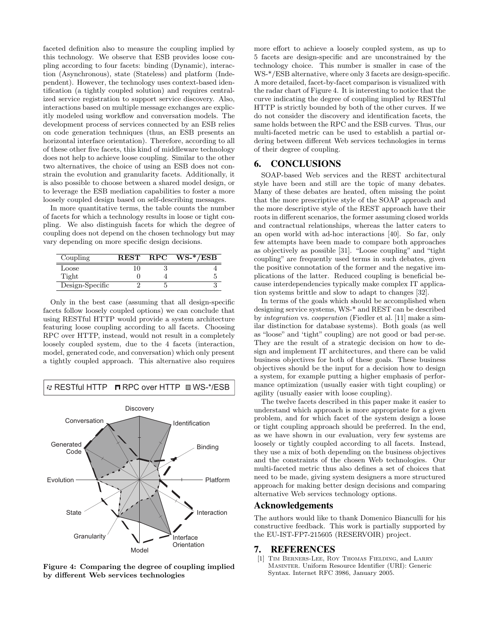<span id="page-8-0"></span>faceted definition also to measure the coupling implied by this technology. We observe that ESB provides loose coupling according to four facets: binding (Dynamic), interaction (Asynchronous), state (Stateless) and platform (Independent). However, the technology uses context-based identification (a tightly coupled solution) and requires centralized service registration to support service discovery. Also, interactions based on multiple message exchanges are explicitly modeled using workflow and conversation models. The development process of services connected by an ESB relies on code generation techniques (thus, an ESB presents an horizontal interface orientation). Therefore, according to all of these other five facets, this kind of middleware technology does not help to achieve loose coupling. Similar to the other two alternatives, the choice of using an ESB does not constrain the evolution and granularity facets. Additionally, it is also possible to choose between a shared model design, or to leverage the ESB mediation capabilities to foster a more loosely coupled design based on self-describing messages.

In more quantitative terms, the table counts the number of facets for which a technology results in loose or tight coupling. We also distinguish facets for which the degree of coupling does not depend on the chosen technology but may vary depending on more specific design decisions.

| Coupling        | <b>REST</b> | RPC | $WS-*/ESB$ |
|-----------------|-------------|-----|------------|
| Loose           |             |     |            |
| Tight           |             |     |            |
| Design-Specific |             |     |            |

Only in the best case (assuming that all design-specific facets follow loosely coupled options) we can conclude that using RESTful HTTP would provide a system architecture featuring loose coupling according to all facets. Choosing RPC over HTTP, instead, would not result in a completely loosely coupled system, due to the 4 facets (interaction, model, generated code, and conversation) which only present a tightly coupled approach. This alternative also requires





Figure 4: Comparing the degree of coupling implied by different Web services technologies

more effort to achieve a loosely coupled system, as up to 5 facets are design-specific and are unconstrained by the technology choice. This number is smaller in case of the WS-\*/ESB alternative, where only 3 facets are design-specific. A more detailed, facet-by-facet comparison is visualized with the radar chart of Figure 4. It is interesting to notice that the curve indicating the degree of coupling implied by RESTful HTTP is strictly bounded by both of the other curves. If we do not consider the discovery and identification facets, the same holds between the RPC and the ESB curves. Thus, our multi-faceted metric can be used to establish a partial ordering between different Web services technologies in terms of their degree of coupling.

## 6. CONCLUSIONS

SOAP-based Web services and the REST architectural style have been and still are the topic of many debates. Many of these debates are heated, often missing the point that the more prescriptive style of the SOAP approach and the more descriptive style of the REST approach have their roots in different scenarios, the former assuming closed worlds and contractual relationships, whereas the latter caters to an open world with ad-hoc interactions [\[40\]](#page-9-0). So far, only few attempts have been made to compare both approaches as objectively as possible [\[31\]](#page-9-0). "Loose coupling" and "tight coupling" are frequently used terms in such debates, given the positive connotation of the former and the negative implications of the latter. Reduced coupling is beneficial because interdependencies typically make complex IT application systems brittle and slow to adapt to changes [\[32\]](#page-9-0).

In terms of the goals which should be accomplished when designing service systems, WS-\* and REST can be described by integration vs. cooperation (Fiedler et al. [\[11\]](#page-9-0) make a similar distinction for database systems). Both goals (as well as "loose" and 'tight" coupling) are not good or bad per-se. They are the result of a strategic decision on how to design and implement IT architectures, and there can be valid business objectives for both of these goals. These business objectives should be the input for a decision how to design a system, for example putting a higher emphasis of performance optimization (usually easier with tight coupling) or agility (usually easier with loose coupling).

The twelve facets described in this paper make it easier to understand which approach is more appropriate for a given problem, and for which facet of the system design a loose or tight coupling approach should be preferred. In the end, as we have shown in our evaluation, very few systems are loosely or tightly coupled according to all facets. Instead, they use a mix of both depending on the business objectives and the constraints of the chosen Web technologies. Our multi-faceted metric thus also defines a set of choices that need to be made, giving system designers a more structured approach for making better design decisions and comparing alternative Web services technology options.

#### Acknowledgements

The authors would like to thank Domenico Bianculli for his constructive feedback. This work is partially supported by the EU-IST-FP7-215605 (RESERVOIR) project.

#### 7. REFERENCES

[1] Tim Berners-Lee, Roy Thomas Fielding, and Larry Masinter. Uniform Resource Identifier (URI): Generic Syntax. Internet RFC 3986, January 2005.